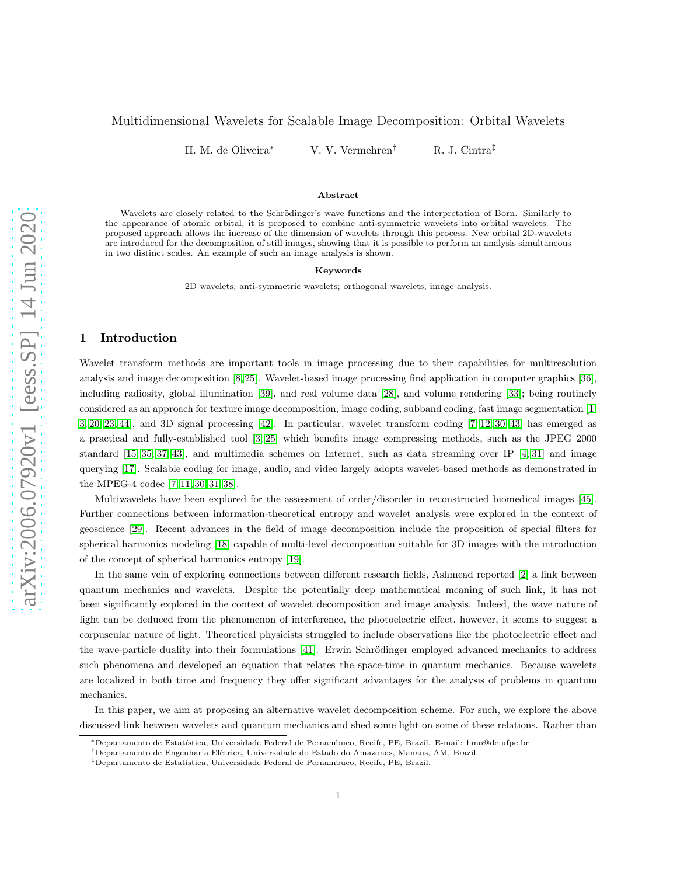# <span id="page-0-0"></span>Multidimensional Wavelets for Scalable Image Decomposition: Orbital Wavelets

H. M. de Oliveira∗ V. V. Vermehren† R. J. Cintra‡

#### Abstract

Wavelets are closely related to the Schrödinger's wave functions and the interpretation of Born. Similarly to the appearance of atomic orbital, it is proposed to combine anti-symmetric wavelets into orbital wavelets. The proposed approach allows the increase of the dimension of wavelets through this process. New orbital 2D-wavelets are introduced for the decomposition of still images, showing that it is possible to perform an analysis simultaneous in two distinct scales. An example of such an image analysis is shown.

#### Keywords

2D wavelets; anti-symmetric wavelets; orthogonal wavelets; image analysis.

## 1 Introduction

Wavelet transform methods are important tools in image processing due to their capabilities for multiresolution analysis and image decomposition [\[8,](#page-7-0) [25\]](#page-8-0). Wavelet-based image processing find application in computer graphics [\[36\]](#page-8-1), including radiosity, global illumination [\[39\]](#page-8-2), and real volume data [\[28\]](#page-8-3), and volume rendering [\[33\]](#page-8-4); being routinely considered as an approach for texture image decomposition, image coding, subband coding, fast image segmentation [\[1,](#page-7-1) [3,](#page-7-2) [20,](#page-7-3) [23,](#page-7-4) [44\]](#page-8-5), and 3D signal processing [\[42\]](#page-8-6). In particular, wavelet transform coding [\[7,](#page-7-5) [12,](#page-7-6) [30,](#page-8-7) [43\]](#page-8-8) has emerged as a practical and fully-established tool [\[3,](#page-7-2) [25\]](#page-8-0) which benefits image compressing methods, such as the JPEG 2000 standard [\[15,](#page-7-7) [35,](#page-8-9) [37,](#page-8-10) [43\]](#page-8-8), and multimedia schemes on Internet, such as data streaming over IP [\[4,](#page-7-8) [31\]](#page-8-11) and image querying [\[17\]](#page-7-9). Scalable coding for image, audio, and video largely adopts wavelet-based methods as demonstrated in the MPEG-4 codec [\[7,](#page-7-5) [11,](#page-7-10) [30,](#page-8-7) [31,](#page-8-11) [38\]](#page-8-12).

Multiwavelets have been explored for the assessment of order/disorder in reconstructed biomedical images [\[45\]](#page-8-13). Further connections between information-theoretical entropy and wavelet analysis were explored in the context of geoscience [\[29\]](#page-8-14). Recent advances in the field of image decomposition include the proposition of special filters for spherical harmonics modeling [\[18\]](#page-7-11) capable of multi-level decomposition suitable for 3D images with the introduction of the concept of spherical harmonics entropy [\[19\]](#page-7-12).

In the same vein of exploring connections between different research fields, Ashmead reported [\[2\]](#page-7-13) a link between quantum mechanics and wavelets. Despite the potentially deep mathematical meaning of such link, it has not been significantly explored in the context of wavelet decomposition and image analysis. Indeed, the wave nature of light can be deduced from the phenomenon of interference, the photoelectric effect, however, it seems to suggest a corpuscular nature of light. Theoretical physicists struggled to include observations like the photoelectric effect and the wave-particle duality into their formulations [\[41\]](#page-8-15). Erwin Schrödinger employed advanced mechanics to address such phenomena and developed an equation that relates the space-time in quantum mechanics. Because wavelets are localized in both time and frequency they offer significant advantages for the analysis of problems in quantum mechanics.

In this paper, we aim at proposing an alternative wavelet decomposition scheme. For such, we explore the above discussed link between wavelets and quantum mechanics and shed some light on some of these relations. Rather than

<sup>∗</sup>Departamento de Estat´ıstica, Universidade Federal de Pernambuco, Recife, PE, Brazil. E-mail: hmo@de.ufpe.br

 $^\dagger$ Departamento de Engenharia Elétrica, Universidade do Estado do Amazonas, Manaus, AM, Brazil

<sup>&</sup>lt;sup>‡</sup>Departamento de Estatística, Universidade Federal de Pernambuco, Recife, PE, Brazil.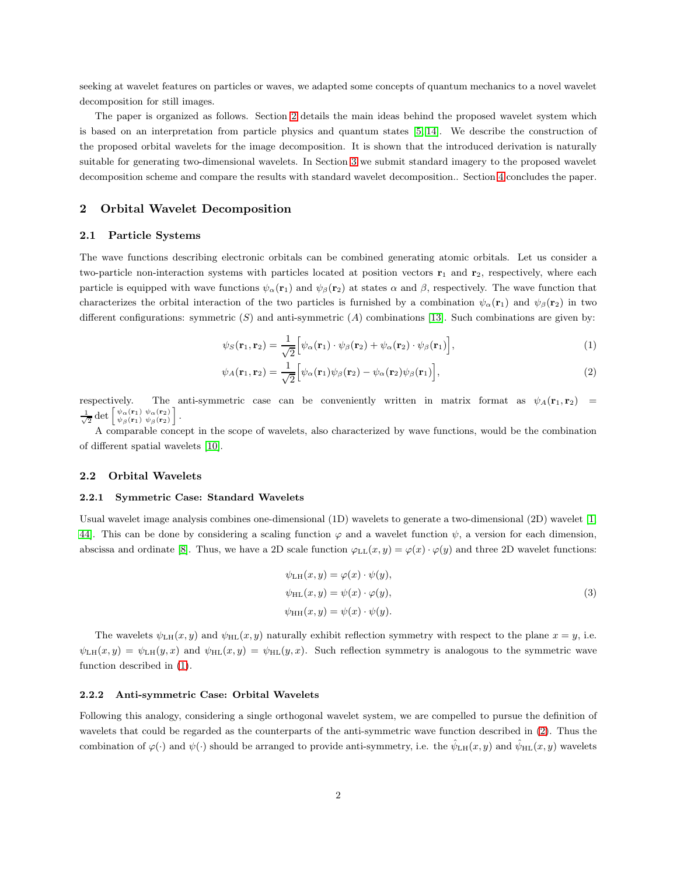<span id="page-1-3"></span>seeking at wavelet features on particles or waves, we adapted some concepts of quantum mechanics to a novel wavelet decomposition for still images.

The paper is organized as follows. Section [2](#page-1-0) details the main ideas behind the proposed wavelet system which is based on an interpretation from particle physics and quantum states [\[5,](#page-7-14) [14\]](#page-7-15). We describe the construction of the proposed orbital wavelets for the image decomposition. It is shown that the introduced derivation is naturally suitable for generating two-dimensional wavelets. In Section [3](#page-5-0) we submit standard imagery to the proposed wavelet decomposition scheme and compare the results with standard wavelet decomposition.. Section [4](#page-7-16) concludes the paper.

### <span id="page-1-0"></span>2 Orbital Wavelet Decomposition

#### 2.1 Particle Systems

The wave functions describing electronic orbitals can be combined generating atomic orbitals. Let us consider a two-particle non-interaction systems with particles located at position vectors  $\mathbf{r}_1$  and  $\mathbf{r}_2$ , respectively, where each particle is equipped with wave functions  $\psi_{\alpha}(\mathbf{r}_1)$  and  $\psi_{\beta}(\mathbf{r}_2)$  at states  $\alpha$  and  $\beta$ , respectively. The wave function that characterizes the orbital interaction of the two particles is furnished by a combination  $\psi_\alpha(\mathbf{r}_1)$  and  $\psi_\beta(\mathbf{r}_2)$  in two different configurations: symmetric  $(S)$  and anti-symmetric  $(A)$  combinations [\[13\]](#page-7-17). Such combinations are given by:

<span id="page-1-2"></span><span id="page-1-1"></span>
$$
\psi_S(\mathbf{r}_1, \mathbf{r}_2) = \frac{1}{\sqrt{2}} \Big[ \psi_\alpha(\mathbf{r}_1) \cdot \psi_\beta(\mathbf{r}_2) + \psi_\alpha(\mathbf{r}_2) \cdot \psi_\beta(\mathbf{r}_1) \Big],\tag{1}
$$

$$
\psi_A(\mathbf{r}_1, \mathbf{r}_2) = \frac{1}{\sqrt{2}} \Big[ \psi_\alpha(\mathbf{r}_1) \psi_\beta(\mathbf{r}_2) - \psi_\alpha(\mathbf{r}_2) \psi_\beta(\mathbf{r}_1) \Big],\tag{2}
$$

respectively. The anti-symmetric case can be conveniently written in matrix format as  $\psi_A(\mathbf{r}_1, \mathbf{r}_2)$  =  $\frac{1}{\sqrt{2}} \det \begin{bmatrix} \psi_{\alpha}(\mathbf{r}_1) & \psi_{\alpha}(\mathbf{r}_2) \\ \psi_{\beta}(\mathbf{r}_1) & \psi_{\beta}(\mathbf{r}_2) \end{bmatrix}.$ 

A comparable concept in the scope of wavelets, also characterized by wave functions, would be the combination of different spatial wavelets [\[10\]](#page-7-18).

#### 2.2 Orbital Wavelets

#### 2.2.1 Symmetric Case: Standard Wavelets

Usual wavelet image analysis combines one-dimensional (1D) wavelets to generate a two-dimensional (2D) wavelet [\[1,](#page-7-1) [44\]](#page-8-5). This can be done by considering a scaling function  $\varphi$  and a wavelet function  $\psi$ , a version for each dimension, abscissa and ordinate [\[8\]](#page-7-0). Thus, we have a 2D scale function  $\varphi_{LL}(x, y) = \varphi(x) \cdot \varphi(y)$  and three 2D wavelet functions:

$$
\psi_{\text{LH}}(x, y) = \varphi(x) \cdot \psi(y), \n\psi_{\text{HL}}(x, y) = \psi(x) \cdot \varphi(y), \n\psi_{\text{HH}}(x, y) = \psi(x) \cdot \psi(y).
$$
\n(3)

The wavelets  $\psi_{\text{LH}}(x, y)$  and  $\psi_{\text{HL}}(x, y)$  naturally exhibit reflection symmetry with respect to the plane  $x = y$ , i.e.  $\psi_{\text{LH}}(x, y) = \psi_{\text{LH}}(y, x)$  and  $\psi_{\text{HL}}(x, y) = \psi_{\text{HL}}(y, x)$ . Such reflection symmetry is analogous to the symmetric wave function described in [\(1\)](#page-1-1).

#### 2.2.2 Anti-symmetric Case: Orbital Wavelets

Following this analogy, considering a single orthogonal wavelet system, we are compelled to pursue the definition of wavelets that could be regarded as the counterparts of the anti-symmetric wave function described in [\(2\)](#page-1-2). Thus the combination of  $\varphi(\cdot)$  and  $\psi(\cdot)$  should be arranged to provide anti-symmetry, i.e. the  $\hat{\psi}_{\text{LH}}(x, y)$  and  $\hat{\psi}_{\text{HL}}(x, y)$  wavelets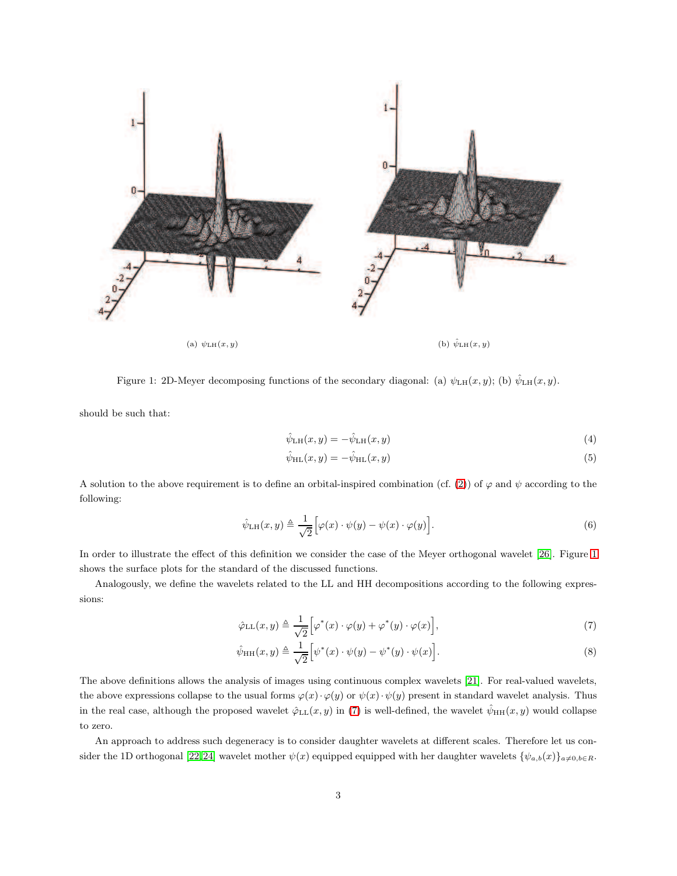<span id="page-2-4"></span>

<span id="page-2-0"></span>Figure 1: 2D-Meyer decomposing functions of the secondary diagonal: (a)  $\psi_{\text{LH}}(x, y)$ ; (b)  $\hat{\psi}_{\text{LH}}(x, y)$ .

should be such that:

$$
\hat{\psi}_{\text{LH}}(x,y) = -\hat{\psi}_{\text{LH}}(x,y) \tag{4}
$$

<span id="page-2-3"></span><span id="page-2-1"></span>
$$
\hat{\psi}_{\rm HL}(x,y) = -\hat{\psi}_{\rm HL}(x,y) \tag{5}
$$

A solution to the above requirement is to define an orbital-inspired combination (cf. [\(2\)](#page-1-2)) of  $\varphi$  and  $\psi$  according to the following:

$$
\hat{\psi}_{\text{LH}}(x,y) \triangleq \frac{1}{\sqrt{2}} \Big[ \varphi(x) \cdot \psi(y) - \psi(x) \cdot \varphi(y) \Big]. \tag{6}
$$

In order to illustrate the effect of this definition we consider the case of the Meyer orthogonal wavelet [\[26\]](#page-8-16). Figure [1](#page-2-0) shows the surface plots for the standard of the discussed functions.

Analogously, we define the wavelets related to the LL and HH decompositions according to the following expressions:

$$
\hat{\varphi}_{\text{LL}}(x,y) \triangleq \frac{1}{\sqrt{2}} \Big[ \varphi^*(x) \cdot \varphi(y) + \varphi^*(y) \cdot \varphi(x) \Big],\tag{7}
$$

<span id="page-2-2"></span>
$$
\hat{\psi}_{HH}(x,y) \triangleq \frac{1}{\sqrt{2}} \Big[ \psi^*(x) \cdot \psi(y) - \psi^*(y) \cdot \psi(x) \Big]. \tag{8}
$$

The above definitions allows the analysis of images using continuous complex wavelets [\[21\]](#page-7-19). For real-valued wavelets, the above expressions collapse to the usual forms  $\varphi(x) \cdot \varphi(y)$  or  $\psi(x) \cdot \psi(y)$  present in standard wavelet analysis. Thus in the real case, although the proposed wavelet  $\hat{\varphi}_{LL}(x, y)$  in [\(7\)](#page-2-1) is well-defined, the wavelet  $\hat{\psi}_{HH}(x, y)$  would collapse to zero.

An approach to address such degeneracy is to consider daughter wavelets at different scales. Therefore let us con-sider the 1D orthogonal [\[22,](#page-7-20) [24\]](#page-8-17) wavelet mother  $\psi(x)$  equipped equipped with her daughter wavelets  $\{\psi_{a,b}(x)\}_{a\neq0,b\in\mathbb{R}}$ .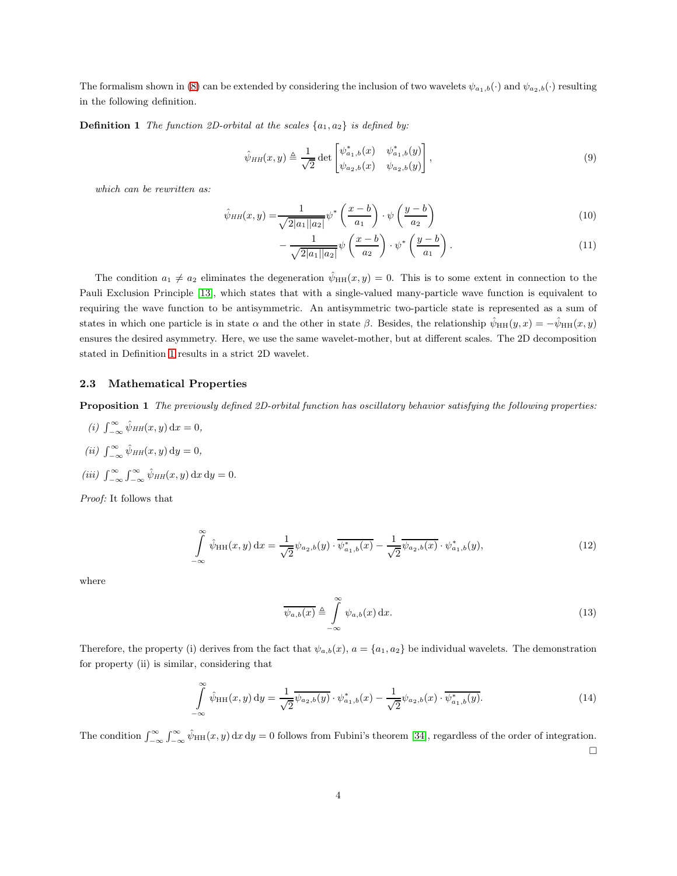<span id="page-3-1"></span><span id="page-3-0"></span>The formalism shown in [\(8\)](#page-2-2) can be extended by considering the inclusion of two wavelets  $\psi_{a_1,b}(\cdot)$  and  $\psi_{a_2,b}(\cdot)$  resulting in the following definition.

**Definition 1** The function 2D-orbital at the scales  $\{a_1, a_2\}$  is defined by:

$$
\hat{\psi}_{HH}(x,y) \triangleq \frac{1}{\sqrt{2}} \det \begin{bmatrix} \psi_{a_1,b}^*(x) & \psi_{a_1,b}^*(y) \\ \psi_{a_2,b}(x) & \psi_{a_2,b}(y) \end{bmatrix},
$$
\n(9)

which can be rewritten as:

$$
\hat{\psi}_{HH}(x,y) = \frac{1}{\sqrt{2|a_1||a_2|}} \psi^* \left(\frac{x-b}{a_1}\right) \cdot \psi \left(\frac{y-b}{a_2}\right) \tag{10}
$$

$$
-\frac{1}{\sqrt{2|a_1||a_2|}}\psi\left(\frac{x-b}{a_2}\right)\cdot\psi^*\left(\frac{y-b}{a_1}\right). \tag{11}
$$

The condition  $a_1 \neq a_2$  eliminates the degeneration  $\hat{\psi}_{HH}(x, y) = 0$ . This is to some extent in connection to the Pauli Exclusion Principle [\[13\]](#page-7-17), which states that with a single-valued many-particle wave function is equivalent to requiring the wave function to be antisymmetric. An antisymmetric two-particle state is represented as a sum of states in which one particle is in state  $\alpha$  and the other in state  $\beta$ . Besides, the relationship  $\psi_{HH}(y, x) = -\psi_{HH}(x, y)$ ensures the desired asymmetry. Here, we use the same wavelet-mother, but at different scales. The 2D decomposition stated in Definition [1](#page-3-0) results in a strict 2D wavelet.

# 2.3 Mathematical Properties

Proposition 1 The previously defined 2D-orbital function has oscillatory behavior satisfying the following properties:

(i)  $\int_{-\infty}^{\infty} \hat{\psi}_{HH}(x, y) dx = 0$ , (*ii*)  $\int_{-\infty}^{\infty} \hat{\psi}_{HH}(x, y) dy = 0$ , (iii)  $\int_{-\infty}^{\infty} \int_{-\infty}^{\infty} \hat{\psi}_{HH}(x, y) dx dy = 0.$ 

Proof: It follows that

$$
\int_{-\infty}^{\infty} \hat{\psi}_{HH}(x, y) dx = \frac{1}{\sqrt{2}} \psi_{a_2, b}(y) \cdot \overline{\psi_{a_1, b}^*(x)} - \frac{1}{\sqrt{2}} \overline{\psi_{a_2, b}(x)} \cdot \psi_{a_1, b}^*(y), \tag{12}
$$

where

$$
\overline{\psi_{a,b}(x)} \triangleq \int_{-\infty}^{\infty} \psi_{a,b}(x) dx.
$$
\n(13)

Therefore, the property (i) derives from the fact that  $\psi_{a,b}(x)$ ,  $a = \{a_1, a_2\}$  be individual wavelets. The demonstration for property (ii) is similar, considering that

$$
\int_{-\infty}^{\infty} \hat{\psi}_{HH}(x, y) dy = \frac{1}{\sqrt{2}} \overline{\psi_{a_2, b}(y)} \cdot \psi_{a_1, b}^*(x) - \frac{1}{\sqrt{2}} \psi_{a_2, b}(x) \cdot \overline{\psi_{a_1, b}^*(y)}.
$$
(14)

The condition  $\int_{-\infty}^{\infty}\int_{-\infty}^{\infty}\hat{\psi}_{HH}(x, y) dx dy = 0$  follows from Fubini's theorem [\[34\]](#page-8-18), regardless of the order of integration.  $\Box$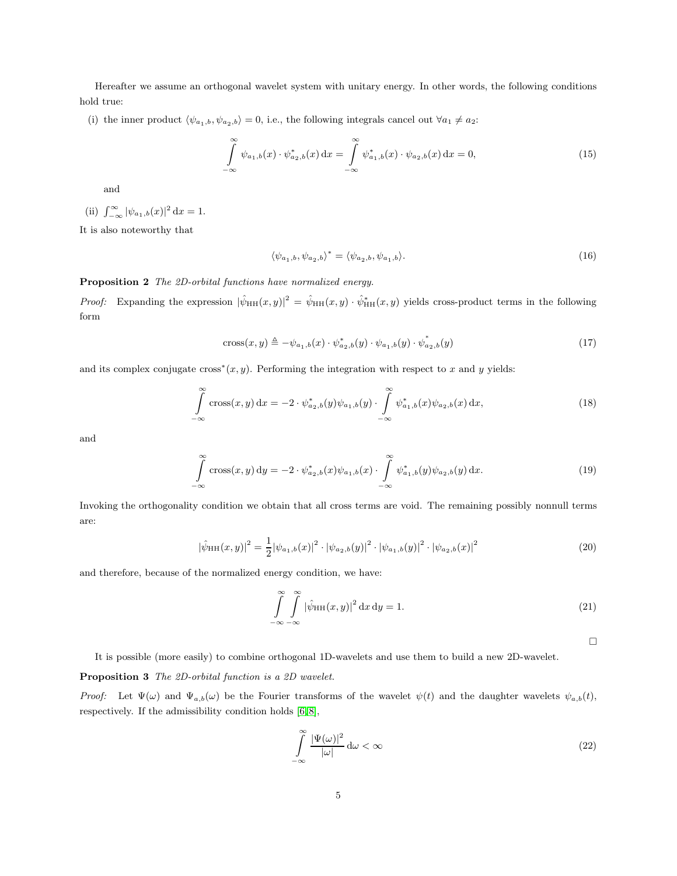<span id="page-4-0"></span>Hereafter we assume an orthogonal wavelet system with unitary energy. In other words, the following conditions hold true:

(i) the inner product  $\langle \psi_{a_1,b}, \psi_{a_2,b} \rangle = 0$ , i.e., the following integrals cancel out  $\forall a_1 \neq a_2$ :

$$
\int_{-\infty}^{\infty} \psi_{a_1,b}(x) \cdot \psi_{a_2,b}^*(x) dx = \int_{-\infty}^{\infty} \psi_{a_1,b}^*(x) \cdot \psi_{a_2,b}(x) dx = 0,
$$
\n(15)

and

(ii) 
$$
\int_{-\infty}^{\infty} |\psi_{a_1,b}(x)|^2 dx = 1.
$$

It is also noteworthy that

$$
\langle \psi_{a_1,b}, \psi_{a_2,b} \rangle^* = \langle \psi_{a_2,b}, \psi_{a_1,b} \rangle. \tag{16}
$$

## Proposition 2 The 2D-orbital functions have normalized energy.

*Proof:* Expanding the expression  $|\hat{\psi}_{HH}(x,y)|^2 = \hat{\psi}_{HH}(x,y) \cdot \hat{\psi}_{HH}^*(x,y)$  yields cross-product terms in the following form

$$
cross(x, y) \triangleq -\psi_{a_1, b}(x) \cdot \psi_{a_2, b}^*(y) \cdot \psi_{a_1, b}(y) \cdot \psi_{a_2, b}^*(y)
$$
\n(17)

and its complex conjugate cross<sup>\*</sup> $(x, y)$ . Performing the integration with respect to x and y yields:

$$
\int_{-\infty}^{\infty} \cos(x, y) dx = -2 \cdot \psi_{a_2, b}^*(y) \psi_{a_1, b}(y) \cdot \int_{-\infty}^{\infty} \psi_{a_1, b}^*(x) \psi_{a_2, b}(x) dx,
$$
\n(18)

and

$$
\int_{-\infty}^{\infty} \cos(x, y) dy = -2 \cdot \psi_{a_2, b}^*(x) \psi_{a_1, b}(x) \cdot \int_{-\infty}^{\infty} \psi_{a_1, b}^*(y) \psi_{a_2, b}(y) dx.
$$
 (19)

Invoking the orthogonality condition we obtain that all cross terms are void. The remaining possibly nonnull terms are:

$$
|\hat{\psi}_{HH}(x,y)|^2 = \frac{1}{2} |\psi_{a_1,b}(x)|^2 \cdot |\psi_{a_2,b}(y)|^2 \cdot |\psi_{a_1,b}(y)|^2 \cdot |\psi_{a_2,b}(x)|^2 \tag{20}
$$

and therefore, because of the normalized energy condition, we have:

$$
\int_{-\infty}^{\infty} \int_{-\infty}^{\infty} |\hat{\psi}_{HH}(x,y)|^2 dx dy = 1.
$$
\n(21)

 $\Box$ 

It is possible (more easily) to combine orthogonal 1D-wavelets and use them to build a new 2D-wavelet.

#### Proposition 3 The 2D-orbital function is a 2D wavelet.

Proof: Let  $\Psi(\omega)$  and  $\Psi_{a,b}(\omega)$  be the Fourier transforms of the wavelet  $\psi(t)$  and the daughter wavelets  $\psi_{a,b}(t)$ , respectively. If the admissibility condition holds  $[6, 8]$  $[6, 8]$ ,

$$
\int_{-\infty}^{\infty} \frac{|\Psi(\omega)|^2}{|\omega|} d\omega < \infty
$$
\n(22)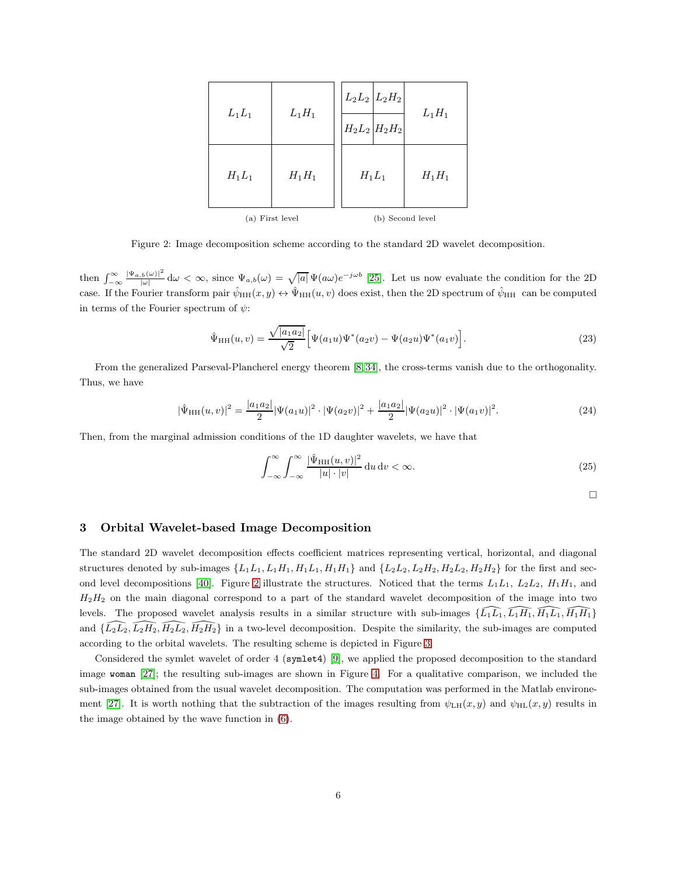<span id="page-5-2"></span>

| $L_1L_1$        | $L_1H_1$ | $L_2L_2 L_2H_2 $<br>$H_2L_2 H_2H_2$ | $L_1H_1$ |
|-----------------|----------|-------------------------------------|----------|
| $H_1L_1$        | $H_1H_1$ | $H_1L_1$                            | $H_1H_1$ |
| (a) First level |          | (b) Second level                    |          |

<span id="page-5-1"></span>Figure 2: Image decomposition scheme according to the standard 2D wavelet decomposition.

then  $\int_{-\infty}^{\infty}$  $|\Psi_{a,b}(\omega)|^2$  $\int_{\alpha}^{\beta(\omega)|^2} d\omega < \infty$ , since  $\Psi_{a,b}(\omega) = \sqrt{|a|} \Psi(a\omega) e^{-j\omega b}$  [\[25\]](#page-8-0). Let us now evaluate the condition for the 2D case. If the Fourier transform pair  $\hat{\psi}_{HH}(x, y) \leftrightarrow \hat{\Psi}_{HH}(u, v)$  does exist, then the 2D spectrum of  $\hat{\psi}_{HH}$  can be computed in terms of the Fourier spectrum of  $\psi$ :

$$
\hat{\Psi}_{HH}(u,v) = \frac{\sqrt{|a_1 a_2|}}{\sqrt{2}} \Big[ \Psi(a_1 u) \Psi^*(a_2 v) - \Psi(a_2 u) \Psi^*(a_1 v) \Big]. \tag{23}
$$

From the generalized Parseval-Plancherel energy theorem [\[8,](#page-7-0) [34\]](#page-8-18), the cross-terms vanish due to the orthogonality. Thus, we have

$$
|\hat{\Psi}_{HH}(u,v)|^2 = \frac{|a_1 a_2|}{2} |\Psi(a_1 u)|^2 \cdot |\Psi(a_2 v)|^2 + \frac{|a_1 a_2|}{2} |\Psi(a_2 u)|^2 \cdot |\Psi(a_1 v)|^2.
$$
 (24)

Then, from the marginal admission conditions of the 1D daughter wavelets, we have that

$$
\int_{-\infty}^{\infty} \int_{-\infty}^{\infty} \frac{|\hat{\Psi}_{HH}(u,v)|^2}{|u| \cdot |v|} du dv < \infty.
$$
 (25)

 $\Box$ 

# <span id="page-5-0"></span>3 Orbital Wavelet-based Image Decomposition

The standard 2D wavelet decomposition effects coefficient matrices representing vertical, horizontal, and diagonal structures denoted by sub-images  $\{L_1L_1, L_1H_1, H_1L_1, H_1H_1\}$  and  $\{L_2L_2, L_2H_2, H_2L_2, H_2H_2\}$  for the first and sec-ond level decompositions [\[40\]](#page-8-19). Figure [2](#page-5-1) illustrate the structures. Noticed that the terms  $L_1L_1$ ,  $L_2L_2$ ,  $H_1H_1$ , and  $H_2H_2$  on the main diagonal correspond to a part of the standard wavelet decomposition of the image into two levels. The proposed wavelet analysis results in a similar structure with sub-images  $\{\widehat{L_1L_1}, \widehat{L_1H_1}, \widehat{H_1L_1}, \widehat{H_1H_1}\}$ and  $\{\widehat{L_2L_2}, \widehat{L_2H_2}, \widehat{H_2L_2}, \widehat{H_2H_2}\}$  in a two-level decomposition. Despite the similarity, the sub-images are computed according to the orbital wavelets. The resulting scheme is depicted in Figure [3.](#page-6-0)

Considered the symlet wavelet of order 4 (symlet4) [\[9\]](#page-7-22), we applied the proposed decomposition to the standard image woman [\[27\]](#page-8-20); the resulting sub-images are shown in Figure [4.](#page-6-1) For a qualitative comparison, we included the sub-images obtained from the usual wavelet decomposition. The computation was performed in the Matlab environe-ment [\[27\]](#page-8-20). It is worth nothing that the subtraction of the images resulting from  $\psi_{\text{LH}}(x, y)$  and  $\psi_{\text{HL}}(x, y)$  results in the image obtained by the wave function in [\(6\)](#page-2-3).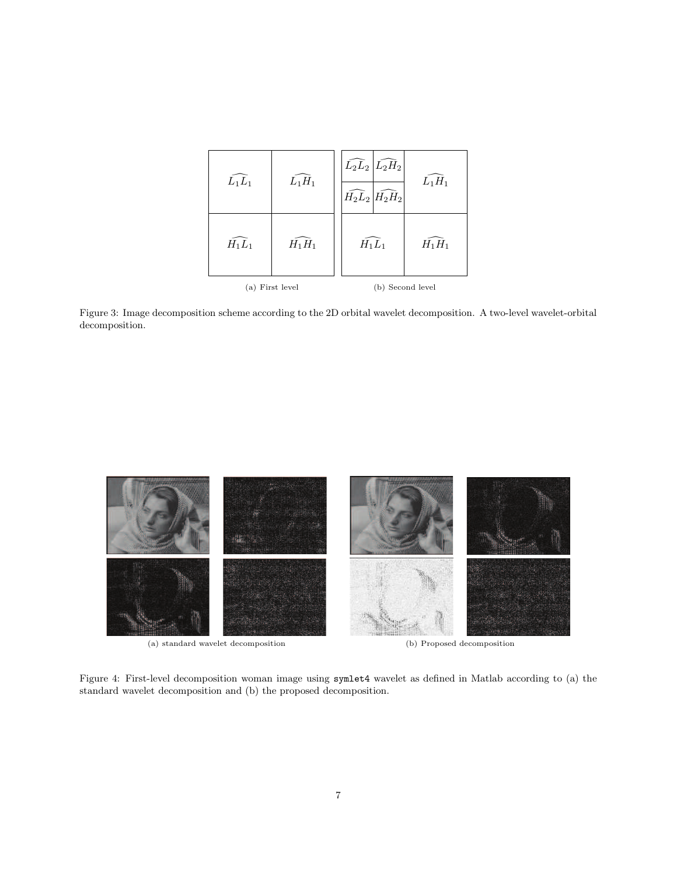| $\widehat{L_1L_1}$ | $\overline{L}_1H_1$ | $\widehat{L_2L_2}\big \widehat{L_2H_2}\big $<br>$H_2L_2 H_2H_2 $ | $L_1H_1$ |
|--------------------|---------------------|------------------------------------------------------------------|----------|
| $\widehat{H_1L_1}$ | $H_1H_1$            | $\widehat{H_1L_1}$                                               | $H_1H_1$ |
| (a) First level    |                     | (b) Second level                                                 |          |

<span id="page-6-0"></span>Figure 3: Image decomposition scheme according to the 2D orbital wavelet decomposition. A two-level wavelet-orbital decomposition.



<span id="page-6-1"></span>

Figure 4: First-level decomposition woman image using symlet4 wavelet as defined in Matlab according to (a) the standard wavelet decomposition and (b) the proposed decomposition.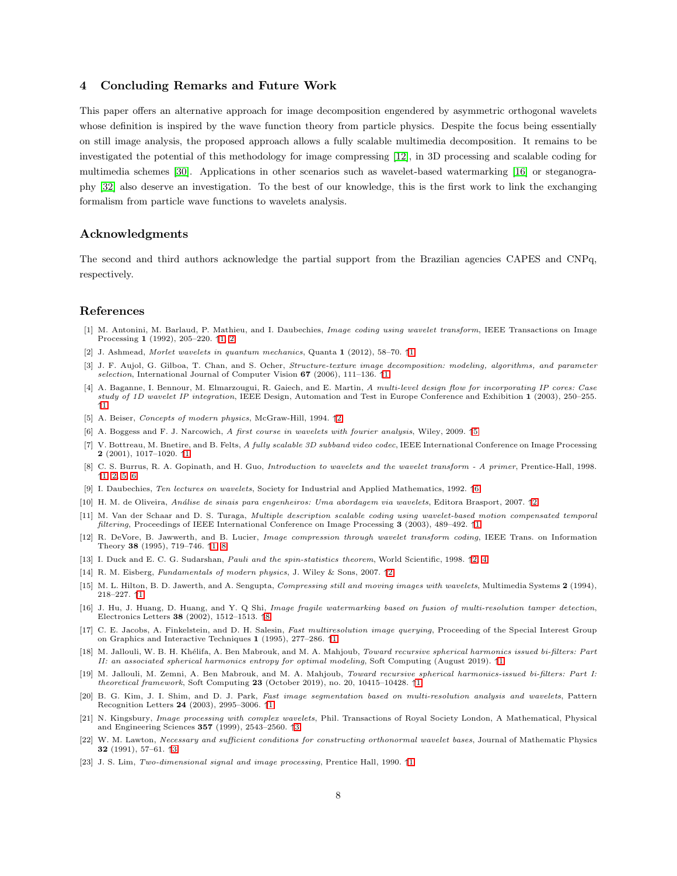# <span id="page-7-24"></span><span id="page-7-16"></span>4 Concluding Remarks and Future Work

This paper offers an alternative approach for image decomposition engendered by asymmetric orthogonal wavelets whose definition is inspired by the wave function theory from particle physics. Despite the focus being essentially on still image analysis, the proposed approach allows a fully scalable multimedia decomposition. It remains to be investigated the potential of this methodology for image compressing [\[12\]](#page-7-6), in 3D processing and scalable coding for multimedia schemes [\[30\]](#page-8-7). Applications in other scenarios such as wavelet-based watermarking [\[16\]](#page-7-23) or steganography [\[32\]](#page-8-21) also deserve an investigation. To the best of our knowledge, this is the first work to link the exchanging formalism from particle wave functions to wavelets analysis.

# Acknowledgments

The second and third authors acknowledge the partial support from the Brazilian agencies CAPES and CNPq, respectively.

### References

- <span id="page-7-1"></span>[1] M. Antonini, M. Barlaud, P. Mathieu, and I. Daubechies, Image coding using wavelet transform, IEEE Transactions on Image Processing 1 (1992), 205–220. ↑[1,](#page-0-0) [2](#page-1-3)
- <span id="page-7-13"></span>[2] J. Ashmead, Morlet wavelets in quantum mechanics, Quanta 1 (2012), 58–70. ↑[1](#page-0-0)
- <span id="page-7-2"></span>[3] J. F. Aujol, G. Gilboa, T. Chan, and S. Ocher, Structure-texture image decomposition: modeling, algorithms, and parameter selection, International Journal of Computer Vision  $67$  (2006), [1](#page-0-0)11–136.  $\uparrow$ 1
- <span id="page-7-8"></span>[4] A. Baganne, I. Bennour, M. Elmarzougui, R. Gaiech, and E. Martin, A multi-level design flow for incorporating IP cores: Case study of 1D wavelet IP integration, IEEE Design, Automation and Test in Europe Conference and Exhibition 1 (2003), 250–255. ↑[1](#page-0-0)
- <span id="page-7-14"></span>[5] A. Beiser, Concepts of modern physics, McGraw-Hill, 1994. ↑[2](#page-1-3)
- <span id="page-7-21"></span>[6] A. Boggess and F. J. Narcowich, A first course in wavelets with fourier analysis, Wiley, 2009. ↑[5](#page-4-0)
- <span id="page-7-5"></span>[7] V. Bottreau, M. Bnetire, and B. Felts, A fully scalable 3D subband video codec, IEEE International Conference on Image Processing 2 (2001), 1017–1020. ↑[1](#page-0-0)
- <span id="page-7-0"></span>[8] C. S. Burrus, R. A. Gopinath, and H. Guo, Introduction to wavelets and the wavelet transform - A primer, Prentice-Hall, 1998. ↑[1,](#page-0-0) [2,](#page-1-3) [5,](#page-4-0) [6](#page-5-2)
- <span id="page-7-22"></span>[9] I. Daubechies, Ten lectures on wavelets, Society for Industrial and Applied Mathematics, 1992. ↑[6](#page-5-2)
- <span id="page-7-18"></span>[10] H. M. de Oliveira, An´alise de sinais para engenheiros: Uma abordagem via wavelets, Editora Brasport, 2007. ↑[2](#page-1-3)
- <span id="page-7-10"></span>[11] M. Van der Schaar and D. S. Turaga, Multiple description scalable coding using wavelet-based motion compensated temporal filtering, Proceedings of IEEE International Conference on Image Processing 3 (2003), 489–492. ↑[1](#page-0-0)
- <span id="page-7-6"></span>[12] R. DeVore, B. Jawwerth, and B. Lucier, Image compression through wavelet transform coding, IEEE Trans. on Information Theory 38 (1995), 719–746. ↑[1,](#page-0-0) [8](#page-7-24)
- <span id="page-7-17"></span>[13] I. Duck and E. C. G. Sudarshan, Pauli and the spin-statistics theorem, World Scientific, 1998. ↑[2,](#page-1-3) [4](#page-3-1)
- <span id="page-7-15"></span>[14] R. M. Eisberg, Fundamentals of modern physics, J. Wiley & Sons, 2007. ↑[2](#page-1-3)
- <span id="page-7-7"></span>[15] M. L. Hilton, B. D. Jawerth, and A. Sengupta, Compressing still and moving images with wavelets, Multimedia Systems 2 (1994), 218–227. ↑[1](#page-0-0)
- <span id="page-7-23"></span>[16] J. Hu, J. Huang, D. Huang, and Y. Q Shi, Image fragile watermarking based on fusion of multi-resolution tamper detection, Electronics Letters 38 (2002), 1512–1513. ↑[8](#page-7-24)
- <span id="page-7-9"></span>[17] C. E. Jacobs, A. Finkelstein, and D. H. Salesin, Fast multiresolution image querying, Proceeding of the Special Interest Group on Graphics and Interactive Techniques 1 (1995), 277–286. ↑[1](#page-0-0)
- <span id="page-7-11"></span>[18] M. Jallouli, W. B. H. Khélifa, A. Ben Mabrouk, and M. A. Mahjoub, Toward recursive spherical harmonics issued bi-filters: Part II: an associated spherical harmonics entropy for optimal modeling, Soft Computing (August 2019). ↑[1](#page-0-0)
- <span id="page-7-12"></span>[19] M. Jallouli, M. Zemni, A. Ben Mabrouk, and M. A. Mahjoub, Toward recursive spherical harmonics-issued bi-filters: Part I: theoretical framework, Soft Computing 23 (October 20[1](#page-0-0)9), no. 20, 10415–10428.  $\uparrow$ 1
- <span id="page-7-3"></span>[20] B. G. Kim, J. I. Shim, and D. J. Park, Fast image segmentation based on multi-resolution analysis and wavelets, Pattern Recognition Letters 24 (2003), 2995–3006. ↑[1](#page-0-0)
- <span id="page-7-19"></span>[21] N. Kingsbury, Image processing with complex wavelets, Phil. Transactions of Royal Society London, A Mathematical, Physical and Engineering Sciences 357 (1999), 2543–2560. ↑[3](#page-2-4)
- <span id="page-7-20"></span>[22] W. M. Lawton, Necessary and sufficient conditions for constructing orthonormal wavelet bases, Journal of Mathematic Physics 32 (1991), 57–61. ↑[3](#page-2-4)
- <span id="page-7-4"></span>[23] J. S. Lim, Two-dimensional signal and image processing, Prentice Hall, 1990. ↑[1](#page-0-0)